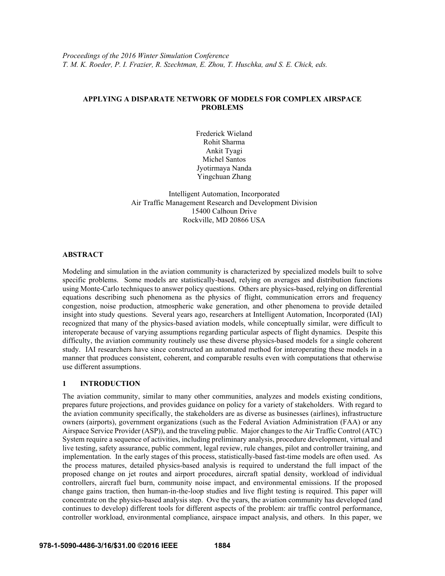# **APPLYING A DISPARATE NETWORK OF MODELS FOR COMPLEX AIRSPACE PROBLEMS**

Frederick Wieland Rohit Sharma Ankit Tyagi Michel Santos Jyotirmaya Nanda Yingchuan Zhang

Intelligent Automation, Incorporated Air Traffic Management Research and Development Division 15400 Calhoun Drive Rockville, MD 20866 USA

## **ABSTRACT**

Modeling and simulation in the aviation community is characterized by specialized models built to solve specific problems. Some models are statistically-based, relying on averages and distribution functions using Monte-Carlo techniques to answer policy questions. Others are physics-based, relying on differential equations describing such phenomena as the physics of flight, communication errors and frequency congestion, noise production, atmospheric wake generation, and other phenomena to provide detailed insight into study questions. Several years ago, researchers at Intelligent Automation, Incorporated (IAI) recognized that many of the physics-based aviation models, while conceptually similar, were difficult to interoperate because of varying assumptions regarding particular aspects of flight dynamics. Despite this difficulty, the aviation community routinely use these diverse physics-based models for a single coherent study. IAI researchers have since constructed an automated method for interoperating these models in a manner that produces consistent, coherent, and comparable results even with computations that otherwise use different assumptions.

## **1 INTRODUCTION**

The aviation community, similar to many other communities, analyzes and models existing conditions, prepares future projections, and provides guidance on policy for a variety of stakeholders. With regard to the aviation community specifically, the stakeholders are as diverse as businesses (airlines), infrastructure owners (airports), government organizations (such as the Federal Aviation Administration (FAA) or any Airspace Service Provider (ASP)), and the traveling public. Major changes to the Air Traffic Control (ATC) System require a sequence of activities, including preliminary analysis, procedure development, virtual and live testing, safety assurance, public comment, legal review, rule changes, pilot and controller training, and implementation. In the early stages of this process, statistically-based fast-time models are often used. As the process matures, detailed physics-based analysis is required to understand the full impact of the proposed change on jet routes and airport procedures, aircraft spatial density, workload of individual controllers, aircraft fuel burn, community noise impact, and environmental emissions. If the proposed change gains traction, then human-in-the-loop studies and live flight testing is required. This paper will concentrate on the physics-based analysis step. Ove the years, the aviation community has developed (and continues to develop) different tools for different aspects of the problem: air traffic control performance, controller workload, environmental compliance, airspace impact analysis, and others. In this paper, we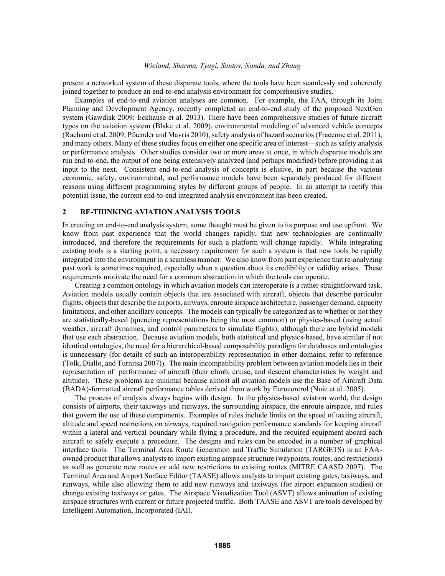present a networked system of these disparate tools, where the tools have been seamlessly and coherently joined together to produce an end-to-end analysis environment for comprehensive studies.

Examples of end-to-end aviation analyses are common. For example, the FAA, through its Joint Planning and Development Agency, recently completed an end-to-end study of the proposed NextGen system (Gawdiak 2009; Eckhause et al. 2013). There have been comprehensive studies of future aircraft types on the aviation system (Blake et al. 2009), environmental modeling of advanced vehicle concepts (Rachami et al. 2009; Pfaender and Mavris 2010), safety analysis of hazard scenarios (Fraccone et al. 2011), and many others. Many of these studies focus on either one specific area of interest—such as safety analysis or performance analysis. Other studies consider two or more areas at once, in which disparate models are run end-to-end, the output of one being extensively analyzed (and perhaps modified) before providing it as input to the next. Consistent end-to-end analysis of concepts is elusive, in part because the various economic, safety, environmental, and performance models have been separately produced for different reasons using different programming styles by different groups of people. In an attempt to rectify this potential issue, the current end-to-end integrated analysis environment has been created.

## **2 RE-THINKING AVIATION ANALYSIS TOOLS**

In creating an end-to-end analysis system, some thought must be given to its purpose and use upfront. We know from past experience that the world changes rapidly, that new technologies are continually introduced, and therefore the requirements for such a platform will change rapidly. While integrating existing tools is a starting point, a necessary requirement for such a system is that new tools be rapidly integrated into the environment in a seamless manner. We also know from past experience that re-analyzing past work is sometimes required, especially when a question about its credibility or validity arises. These requirements motivate the need for a common abstraction in which the tools can operate.

Creating a common ontology in which aviation models can interoperate is a rather straightforward task. Aviation models usually contain objects that are associated with aircraft, objects that describe particular flights, objects that describe the airports, airways, enroute airspace architecture, passenger demand, capacity limitations, and other ancillary concepts. The models can typically be categorized as to whether or not they are statistically-based (queueing representations being the most common) or physics-based (using actual weather, aircraft dynamics, and control parameters to simulate flights), although there are hybrid models that use each abstraction. Because aviation models, both statistical and physics-based, have similar if not identical ontologies, the need for a hierarchical-based composability paradigm for databases and ontologies is unnecessary (for details of such an interoperability representation in other domains, refer to reference (Tolk, Diallo, and Turnitsa 2007)). The main incompatibility problem between aviation models lies in their representation of performance of aircraft (their climb, cruise, and descent characteristics by weight and altitude). These problems are minimal because almost all aviation models use the Base of Aircraft Data (BADA)-formatted aircraft performance tables derived from work by Eurocontrol (Nuic et al. 2005).

The process of analysis always begins with design. In the physics-based aviation world, the design consists of airports, their taxiways and runways, the surrounding airspace, the enroute airspace, and rules that govern the use of these components. Examples of rules include limits on the speed of taxiing aircraft, altitude and speed restrictions on airways, required navigation performance standards for keeping aircraft within a lateral and vertical boundary while flying a procedure, and the required equipment aboard each aircraft to safely execute a procedure. The designs and rules can be encoded in a number of graphical interface tools. The Terminal Area Route Generation and Traffic Simulation (TARGETS) is an FAAowned product that allows analysts to import existing airspace structure (waypoints, routes, and restrictions) as well as generate new routes or add new restrictions to existing routes (MITRE CAASD 2007). The Terminal Area and Airport Surface Editor (TAASE) allows analysts to import existing gates, taxiways, and runways, while also allowing them to add new runways and taxiways (for airport expansion studies) or change existing taxiways or gates. The Airspace Visualization Tool (ASVT) allows animation of existing airspace structures with current or future projected traffic. Both TAASE and ASVT are tools developed by Intelligent Automation, Incorporated (IAI).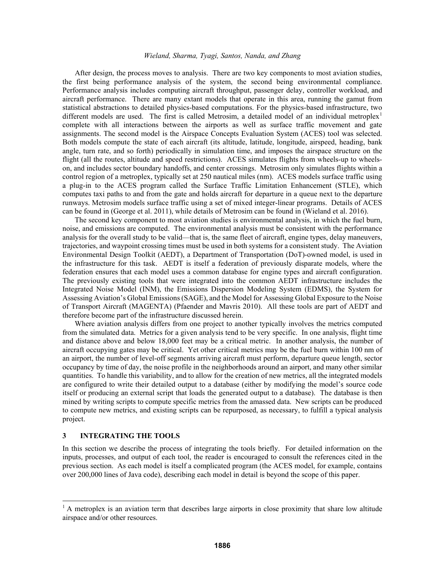After design, the process moves to analysis. There are two key components to most aviation studies, the first being performance analysis of the system, the second being environmental compliance. Performance analysis includes computing aircraft throughput, passenger delay, controller workload, and aircraft performance. There are many extant models that operate in this area, running the gamut from statistical abstractions to detailed physics-based computations. For the physics-based infrastructure, two different models are used. The first is called Metrosim, a detailed model of an individual metroplex<sup>1</sup> complete with all interactions between the airports as well as surface traffic movement and gate assignments. The second model is the Airspace Concepts Evaluation System (ACES) tool was selected. Both models compute the state of each aircraft (its altitude, latitude, longitude, airspeed, heading, bank angle, turn rate, and so forth) periodically in simulation time, and imposes the airspace structure on the flight (all the routes, altitude and speed restrictions). ACES simulates flights from wheels-up to wheelson, and includes sector boundary handoffs, and center crossings. Metrosim only simulates flights within a control region of a metroplex, typically set at 250 nautical miles (nm). ACES models surface traffic using a plug-in to the ACES program called the Surface Traffic Limitation Enhancement (STLE), which computes taxi paths to and from the gate and holds aircraft for departure in a queue next to the departure runways. Metrosim models surface traffic using a set of mixed integer-linear programs. Details of ACES can be found in (George et al. 2011), while details of Metrosim can be found in (Wieland et al. 2016).

The second key component to most aviation studies is environmental analysis, in which the fuel burn, noise, and emissions are computed. The environmental analysis must be consistent with the performance analysis for the overall study to be valid—that is, the same fleet of aircraft, engine types, delay maneuvers, trajectories, and waypoint crossing times must be used in both systems for a consistent study. The Aviation Environmental Design Toolkit (AEDT), a Department of Transportation (DoT)-owned model, is used in the infrastructure for this task. AEDT is itself a federation of previously disparate models, where the federation ensures that each model uses a common database for engine types and aircraft configuration. The previously existing tools that were integrated into the common AEDT infrastructure includes the Integrated Noise Model (INM), the Emissions Dispersion Modeling System (EDMS), the System for Assessing Aviation's Global Emissions (SAGE), and the Model for Assessing Global Exposure to the Noise of Transport Aircraft (MAGENTA) (Pfaender and Mavris 2010). All these tools are part of AEDT and therefore become part of the infrastructure discussed herein.

Where aviation analysis differs from one project to another typically involves the metrics computed from the simulated data. Metrics for a given analysis tend to be very specific. In one analysis, flight time and distance above and below 18,000 feet may be a critical metric. In another analysis, the number of aircraft occupying gates may be critical. Yet other critical metrics may be the fuel burn within 100 nm of an airport, the number of level-off segments arriving aircraft must perform, departure queue length, sector occupancy by time of day, the noise profile in the neighborhoods around an airport, and many other similar quantities. To handle this variability, and to allow for the creation of new metrics, all the integrated models are configured to write their detailed output to a database (either by modifying the model's source code itself or producing an external script that loads the generated output to a database). The database is then mined by writing scripts to compute specific metrics from the amassed data. New scripts can be produced to compute new metrics, and existing scripts can be repurposed, as necessary, to fulfill a typical analysis project.

## **3 INTEGRATING THE TOOLS**

-

In this section we describe the process of integrating the tools briefly. For detailed information on the inputs, processes, and output of each tool, the reader is encouraged to consult the references cited in the previous section. As each model is itself a complicated program (the ACES model, for example, contains over 200,000 lines of Java code), describing each model in detail is beyond the scope of this paper.

 $<sup>1</sup>$  A metroplex is an aviation term that describes large airports in close proximity that share low altitude</sup> airspace and/or other resources.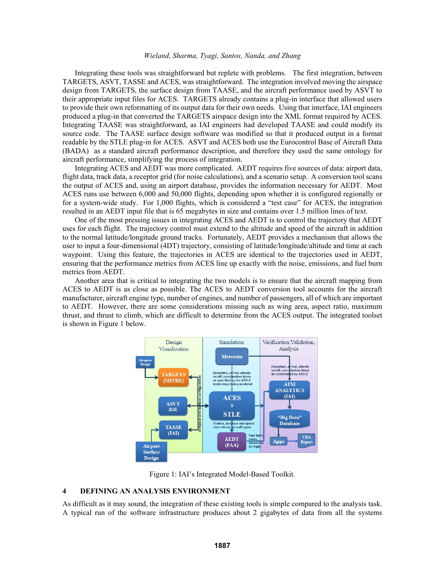Integrating these tools was straightforward but replete with problems. The first integration, between TARGETS, ASVT, TASSE and ACES, was straightforward. The integration involved moving the airspace design from TARGETS, the surface design from TAASE, and the aircraft performance used by ASVT to their appropriate input files for ACES. TARGETS already contains a plug-in interface that allowed users to provide their own reformatting of its output data for their own needs. Using that interface, IAI engineers produced a plug-in that converted the TARGETS airspace design into the XML format required by ACES. Integrating TAASE was straightforward, as IAI engineers had developed TAASE and could modify its source code. The TAASE surface design software was modified so that it produced output in a format readable by the STLE plug-in for ACES. ASVT and ACES both use the Eurocontrol Base of Aircraft Data (BADA) as a standard aircraft performance description, and therefore they used the same ontology for aircraft performance, simplifying the process of integration.

Integrating ACES and AEDT was more complicated. AEDT requires five sources of data: airport data, flight data, track data, a receptor grid (for noise calculations), and a scenario setup. A conversion tool scans the output of ACES and, using an airport database, provides the information necessary for AEDT. Most ACES runs use between 6,000 and 50,000 flights, depending upon whether it is configured regionally or for a system-wide study. For 1,000 flights, which is considered a "test case" for ACES, the integration resulted in an AEDT input file that is 65 megabytes in size and contains over 1.5 million lines of text.

One of the most pressing issues in integrating ACES and AEDT is to control the trajectory that AEDT uses for each flight. The trajectory control must extend to the altitude and speed of the aircraft in addition to the normal latitude/longitude ground tracks. Fortunately, AEDT provides a mechanism that allows the user to input a four-dimensional (4DT) trajectory, consisting of latitude/longitude/altitude and time at each waypoint. Using this feature, the trajectories in ACES are identical to the trajectories used in AEDT, ensuring that the performance metrics from ACES line up exactly with the noise, emissions, and fuel burn metrics from AEDT.

Another area that is critical to integrating the two models is to ensure that the aircraft mapping from ACES to AEDT is as close as possible. The ACES to AEDT conversion tool accounts for the aircraft manufacturer, aircraft engine type, number of engines, and number of passengers, all of which are important to AEDT. However, there are some considerations missing such as wing area, aspect ratio, maximum thrust, and thrust to climb, which are difficult to determine from the ACES output. The integrated toolset is shown in Figure 1 below.



Figure 1: IAI's Integrated Model-Based Toolkit.

#### **4 DEFINING AN ANALYSIS ENVIRONMENT**

As difficult as it may sound, the integration of these existing tools is simple compared to the analysis task. A typical run of the software infrastructure produces about 2 gigabytes of data from all the systems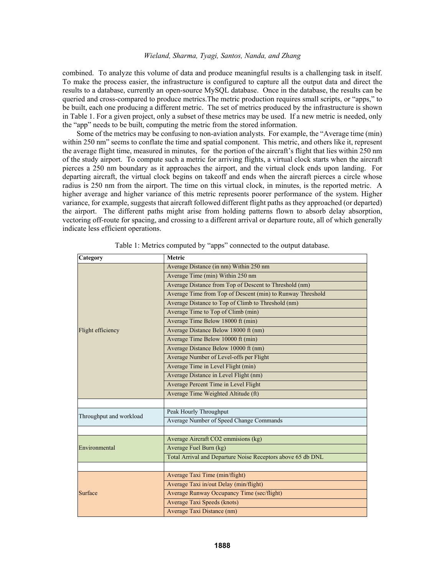combined. To analyze this volume of data and produce meaningful results is a challenging task in itself. To make the process easier, the infrastructure is configured to capture all the output data and direct the results to a database, currently an open-source MySQL database. Once in the database, the results can be queried and cross-compared to produce metrics.The metric production requires small scripts, or "apps," to be built, each one producing a different metric. The set of metrics produced by the infrastructure is shown in Table 1. For a given project, only a subset of these metrics may be used. If a new metric is needed, only the "app" needs to be built, computing the metric from the stored information.

Some of the metrics may be confusing to non-aviation analysts. For example, the "Average time (min) within 250 nm" seems to conflate the time and spatial component. This metric, and others like it, represent the average flight time, measured in minutes, for the portion of the aircraft's flight that lies within 250 nm of the study airport. To compute such a metric for arriving flights, a virtual clock starts when the aircraft pierces a 250 nm boundary as it approaches the airport, and the virtual clock ends upon landing. For departing aircraft, the virtual clock begins on takeoff and ends when the aircraft pierces a circle whose radius is 250 nm from the airport. The time on this virtual clock, in minutes, is the reported metric. A higher average and higher variance of this metric represents poorer performance of the system. Higher variance, for example, suggests that aircraft followed different flight paths as they approached (or departed) the airport. The different paths might arise from holding patterns flown to absorb delay absorption, vectoring off-route for spacing, and crossing to a different arrival or departure route, all of which generally indicate less efficient operations.

| Category                | Metric                                                      |
|-------------------------|-------------------------------------------------------------|
| Flight efficiency       | Average Distance (in nm) Within 250 nm                      |
|                         | Average Time (min) Within 250 nm                            |
|                         | Average Distance from Top of Descent to Threshold (nm)      |
|                         | Average Time from Top of Descent (min) to Runway Threshold  |
|                         | Average Distance to Top of Climb to Threshold (nm)          |
|                         | Average Time to Top of Climb (min)                          |
|                         | Average Time Below 18000 ft (min)                           |
|                         | Average Distance Below 18000 ft (nm)                        |
|                         | Average Time Below 10000 ft (min)                           |
|                         | Average Distance Below 10000 ft (nm)                        |
|                         | Average Number of Level-offs per Flight                     |
|                         | Average Time in Level Flight (min)                          |
|                         | Average Distance in Level Flight (nm)                       |
|                         | Average Percent Time in Level Flight                        |
|                         | Average Time Weighted Altitude (ft)                         |
|                         |                                                             |
| Throughput and workload | Peak Hourly Throughput                                      |
|                         | Average Number of Speed Change Commands                     |
|                         |                                                             |
| Environmental           | Average Aircraft CO2 emmisions (kg)                         |
|                         | Average Fuel Burn (kg)                                      |
|                         | Total Arrival and Departure Noise Receptors above 65 db DNL |
|                         |                                                             |
| Surface                 | Average Taxi Time (min/flight)                              |
|                         | Average Taxi in/out Delay (min/flight)                      |
|                         | <b>Average Runway Occupancy Time (sec/flight)</b>           |
|                         | Average Taxi Speeds (knots)                                 |
|                         | Average Taxi Distance (nm)                                  |

Table 1: Metrics computed by "apps" connected to the output database.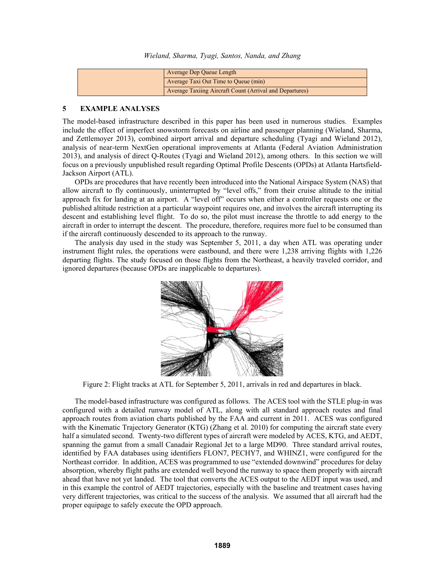*Wieland, Sharma, Tyagi, Santos, Nanda, and Zhang*

| Average Dep Queue Length                                |
|---------------------------------------------------------|
| Average Taxi Out Time to Queue (min)                    |
| Average Taxiing Aircraft Count (Arrival and Departures) |

### **5 EXAMPLE ANALYSES**

The model-based infrastructure described in this paper has been used in numerous studies. Examples include the effect of imperfect snowstorm forecasts on airline and passenger planning (Wieland, Sharma, and Zettlemoyer 2013), combined airport arrival and departure scheduling (Tyagi and Wieland 2012), analysis of near-term NextGen operational improvements at Atlanta (Federal Aviation Administration 2013), and analysis of direct Q-Routes (Tyagi and Wieland 2012), among others. In this section we will focus on a previously unpublished result regarding Optimal Profile Descents (OPDs) at Atlanta Hartsfield-Jackson Airport (ATL).

OPDs are procedures that have recently been introduced into the National Airspace System (NAS) that allow aircraft to fly continuously, uninterrupted by "level offs," from their cruise altitude to the initial approach fix for landing at an airport. A "level off" occurs when either a controller requests one or the published altitude restriction at a particular waypoint requires one, and involves the aircraft interrupting its descent and establishing level flight. To do so, the pilot must increase the throttle to add energy to the aircraft in order to interrupt the descent. The procedure, therefore, requires more fuel to be consumed than if the aircraft continuously descended to its approach to the runway.

The analysis day used in the study was September 5, 2011, a day when ATL was operating under instrument flight rules, the operations were eastbound, and there were 1,238 arriving flights with 1,226 departing flights. The study focused on those flights from the Northeast, a heavily traveled corridor, and ignored departures (because OPDs are inapplicable to departures).



Figure 2: Flight tracks at ATL for September 5, 2011, arrivals in red and departures in black.

The model-based infrastructure was configured as follows. The ACES tool with the STLE plug-in was configured with a detailed runway model of ATL, along with all standard approach routes and final approach routes from aviation charts published by the FAA and current in 2011. ACES was configured with the Kinematic Trajectory Generator (KTG) (Zhang et al. 2010) for computing the aircraft state every half a simulated second. Twenty-two different types of aircraft were modeled by ACES, KTG, and AEDT, spanning the gamut from a small Canadair Regional Jet to a large MD90. Three standard arrival routes, identified by FAA databases using identifiers FLON7, PECHY7, and WHINZ1, were configured for the Northeast corridor. In addition, ACES was programmed to use "extended downwind" procedures for delay absorption, whereby flight paths are extended well beyond the runway to space them properly with aircraft ahead that have not yet landed. The tool that converts the ACES output to the AEDT input was used, and in this example the control of AEDT trajectories, especially with the baseline and treatment cases having very different trajectories, was critical to the success of the analysis. We assumed that all aircraft had the proper equipage to safely execute the OPD approach.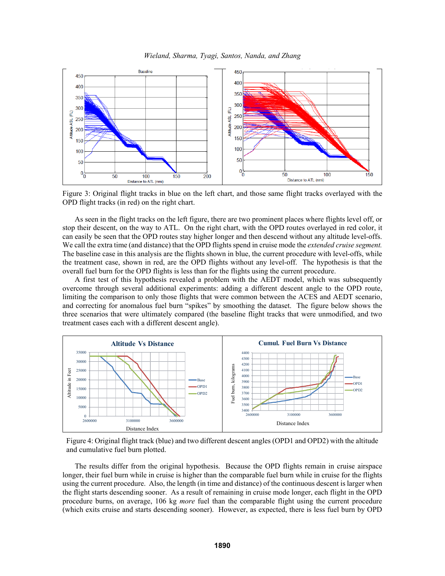



Figure 3: Original flight tracks in blue on the left chart, and those same flight tracks overlayed with the OPD flight tracks (in red) on the right chart.

As seen in the flight tracks on the left figure, there are two prominent places where flights level off, or stop their descent, on the way to ATL. On the right chart, with the OPD routes overlayed in red color, it can easily be seen that the OPD routes stay higher longer and then descend without any altitude level-offs. We call the extra time (and distance) that the OPD flights spend in cruise mode the *extended cruise segment.* The baseline case in this analysis are the flights shown in blue, the current procedure with level-offs, while the treatment case, shown in red, are the OPD flights without any level-off. The hypothesis is that the overall fuel burn for the OPD flights is less than for the flights using the current procedure.

A first test of this hypothesis revealed a problem with the AEDT model, which was subsequently overcome through several additional experiments: adding a different descent angle to the OPD route, limiting the comparison to only those flights that were common between the ACES and AEDT scenario, and correcting for anomalous fuel burn "spikes" by smoothing the dataset. The figure below shows the three scenarios that were ultimately compared (the baseline flight tracks that were unmodified, and two treatment cases each with a different descent angle).



Figure 4: Original flight track (blue) and two different descent angles (OPD1 and OPD2) with the altitude and cumulative fuel burn plotted.

The results differ from the original hypothesis. Because the OPD flights remain in cruise airspace longer, their fuel burn while in cruise is higher than the comparable fuel burn while in cruise for the flights using the current procedure. Also, the length (in time and distance) of the continuous descent is larger when the flight starts descending sooner. As a result of remaining in cruise mode longer, each flight in the OPD procedure burns, on average, 106 kg *more* fuel than the comparable flight using the current procedure (which exits cruise and starts descending sooner). However, as expected, there is less fuel burn by OPD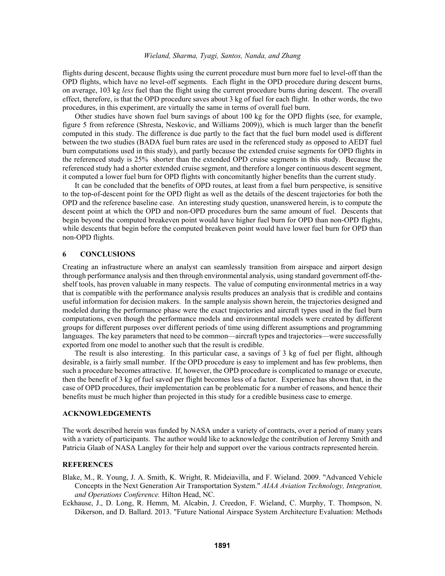flights during descent, because flights using the current procedure must burn more fuel to level-off than the OPD flights, which have no level-off segments. Each flight in the OPD procedure during descent burns, on average, 103 kg *less* fuel than the flight using the current procedure burns during descent. The overall effect, therefore, is that the OPD procedure saves about 3 kg of fuel for each flight. In other words, the two procedures, in this experiment, are virtually the same in terms of overall fuel burn.

Other studies have shown fuel burn savings of about 100 kg for the OPD flights (see, for example, figure 5 from reference (Shresta, Neskovic, and Williams 2009)), which is much larger than the benefit computed in this study. The difference is due partly to the fact that the fuel burn model used is different between the two studies (BADA fuel burn rates are used in the referenced study as opposed to AEDT fuel burn computations used in this study), and partly because the extended cruise segments for OPD flights in the referenced study is 25% shorter than the extended OPD cruise segments in this study. Because the referenced study had a shorter extended cruise segment, and therefore a longer continuous descent segment, it computed a lower fuel burn for OPD flights with concomitantly higher benefits than the current study.

It can be concluded that the benefits of OPD routes, at least from a fuel burn perspective, is sensitive to the top-of-descent point for the OPD flight as well as the details of the descent trajectories for both the OPD and the reference baseline case. An interesting study question, unanswered herein, is to compute the descent point at which the OPD and non-OPD procedures burn the same amount of fuel. Descents that begin beyond the computed breakeven point would have higher fuel burn for OPD than non-OPD flights, while descents that begin before the computed breakeven point would have lower fuel burn for OPD than non-OPD flights.

#### **6 CONCLUSIONS**

Creating an infrastructure where an analyst can seamlessly transition from airspace and airport design through performance analysis and then through environmental analysis, using standard government off-theshelf tools, has proven valuable in many respects. The value of computing environmental metrics in a way that is compatible with the performance analysis results produces an analysis that is credible and contains useful information for decision makers. In the sample analysis shown herein, the trajectories designed and modeled during the performance phase were the exact trajectories and aircraft types used in the fuel burn computations, even though the performance models and environmental models were created by different groups for different purposes over different periods of time using different assumptions and programming languages. The key parameters that need to be common—aircraft types and trajectories—were successfully exported from one model to another such that the result is credible.

The result is also interesting. In this particular case, a savings of 3 kg of fuel per flight, although desirable, is a fairly small number. If the OPD procedure is easy to implement and has few problems, then such a procedure becomes attractive. If, however, the OPD procedure is complicated to manage or execute, then the benefit of 3 kg of fuel saved per flight becomes less of a factor. Experience has shown that, in the case of OPD procedures, their implementation can be problematic for a number of reasons, and hence their benefits must be much higher than projected in this study for a credible business case to emerge.

### **ACKNOWLEDGEMENTS**

The work described herein was funded by NASA under a variety of contracts, over a period of many years with a variety of participants. The author would like to acknowledge the contribution of Jeremy Smith and Patricia Glaab of NASA Langley for their help and support over the various contracts represented herein.

#### **REFERENCES**

- Blake, M., R. Young, J. A. Smith, K. Wright, R. Mideiavilla, and F. Wieland. 2009. "Advanced Vehicle Concepts in the Next Generation Air Transportation System." *AIAA Aviation Technology, Integration, and Operations Conference.* Hilton Head, NC.
- Eckhause, J., D. Long, R. Hemm, M. Alcabin, J. Creedon, F. Wieland, C. Murphy, T. Thompson, N. Dikerson, and D. Ballard. 2013. "Future National Airspace System Architecture Evaluation: Methods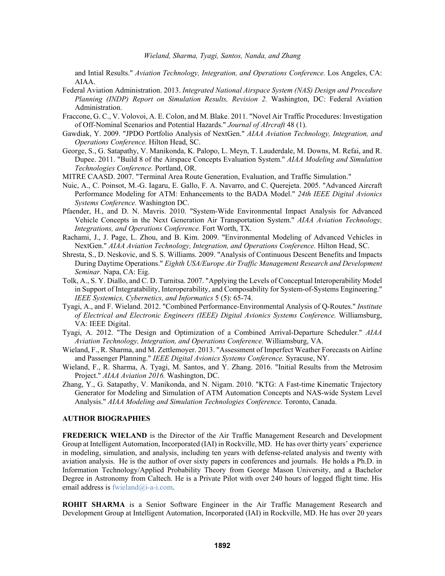and Intial Results." *Aviation Technology, Integration, and Operations Conference.* Los Angeles, CA: AIAA.

- Federal Aviation Administration. 2013. *Integrated National Airspace System (NAS) Design and Procedure Planning (INDP) Report on Simulation Results, Revision 2.* Washington, DC: Federal Aviation Administration.
- Fraccone, G. C., V. Volovoi, A. E. Colon, and M. Blake. 2011. "Novel Air Traffic Procedures: Investigation of Off-Nominal Scenarios and Potential Hazards." *Journal of AIrcraft* 48 (1).
- Gawdiak, Y. 2009. "JPDO Portfolio Analysis of NextGen." *AIAA Aviation Technology, Integration, and Operations Conference.* Hilton Head, SC.
- George, S., G. Satapathy, V. Manikonda, K. Palopo, L. Meyn, T. Lauderdale, M. Downs, M. Refai, and R. Dupee. 2011. "Build 8 of the Airspace Concepts Evaluation System." *AIAA Modeling and Simulation Technologies Conference.* Portland, OR.
- MITRE CAASD. 2007. "Terminal Area Route Generation, Evaluation, and Traffic Simulation."
- Nuic, A., C. Poinsot, M.-G. Iagaru, E. Gallo, F. A. Navarro, and C. Querejeta. 2005. "Advanced Aircraft Performance Modeling for ATM: Enhancements to the BADA Model." *24th IEEE Digital Avionics Systems Conference.* Washington DC.
- Pfaender, H., and D. N. Mavris. 2010. "System-Wide Environmental Impact Analysis for Advanced Vehicle Concepts in the Next Generation Air Transportation System." *AIAA Aviation Technology, Integrations, and Operations Conference.* Fort Worth, TX.
- Rachami, J., J. Page, L. Zhou, and B. Kim. 2009. "Environmental Modeling of Advanced Vehicles in NextGen." *AIAA Aviation Technology, Integration, and Operations Conference.* Hilton Head, SC.
- Shresta, S., D. Neskovic, and S. S. Williams. 2009. "Analysis of Continuous Descent Benefits and Impacts During Daytime Operations." *Eighth USA/Europe Air Traffic Management Research and Development Seminar.* Napa, CA: Eig.
- Tolk, A., S. Y. Diallo, and C. D. Turnitsa. 2007. "Applying the Levels of Conceptual Interoperability Model in Support of Integratability, Interoperability, and Composability for System-of-Systems Engineering." *IEEE Systemics, Cybernetics, and Informatics* 5 (5): 65-74.
- Tyagi, A., and F. Wieland. 2012. "Combined Performance-Environmental Analysis of Q-Routes." *Institute of Electrical and Electronic Engineers (IEEE) Digital Avionics Systems Conference.* Williamsburg, VA: IEEE Digital.
- Tyagi, A. 2012. "The Design and Optimization of a Combined Arrival-Departure Scheduler." *AIAA Aviation Technology, Integration, and Operations Conference.* Williamsburg, VA.
- Wieland, F., R. Sharma, and M. Zettlemoyer. 2013. "Assessment of Imperfect Weather Forecasts on Airline and Passenger Planning." *IEEE Digital Avionics Systems Conference.* Syracuse, NY.
- Wieland, F., R. Sharma, A. Tyagi, M. Santos, and Y. Zhang. 2016. "Initial Results from the Metrosim Project." *AIAA Aviation 2016.* Washington, DC.
- Zhang, Y., G. Satapathy, V. Manikonda, and N. Nigam. 2010. "KTG: A Fast-time Kinematic Trajectory Generator for Modeling and Simulation of ATM Automation Concepts and NAS-wide System Level Analysis." *AIAA Modeling and Simulation Technologies Conference.* Toronto, Canada.

#### **AUTHOR BIOGRAPHIES**

**FREDERICK WIELAND** is the Director of the Air Traffic Management Research and Development Group at Intelligent Automation, Incorporated (IAI) in Rockville, MD. He has over thirty years' experience in modeling, simulation, and analysis, including ten years with defense-related analysis and twenty with aviation analysis. He is the author of over sixty papers in conferences and journals. He holds a Ph.D. in Information Technology/Applied Probability Theory from George Mason University, and a Bachelor Degree in Astronomy from Caltech. He is a Private Pilot with over 240 hours of logged flight time. His email address is fwieland@i-a-i.com.

**ROHIT SHARMA** is a Senior Software Engineer in the Air Traffic Management Research and Development Group at Intelligent Automation, Incorporated (IAI) in Rockville, MD. He has over 20 years